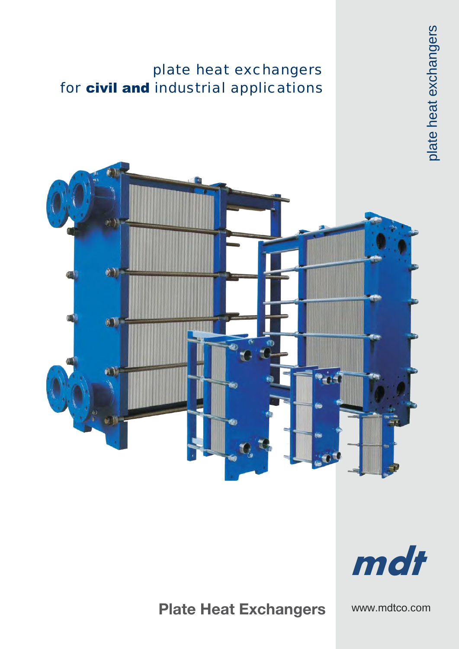### plate heat exchangers for civil and industrial applications





plate heat exchangers

plate heat exchangers



## Plate Heat Exchangers

www.mdtco.com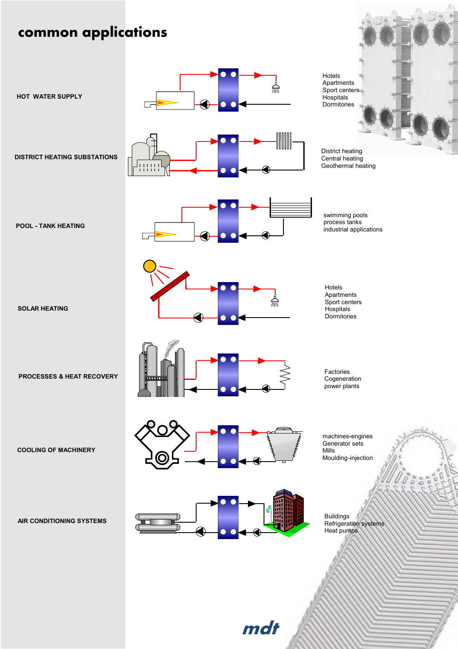## common applications



mdt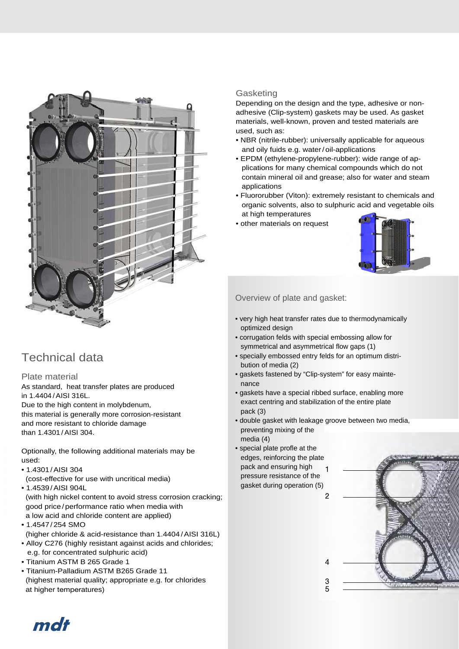

### Technical data

#### Plate material

As standard, heat transfer plates are produced in 1.4404 /AISI 316L. Due to the high content in molybdenum, this material is generally more corrosion-resistant and more resistant to chloride damage than 1.4301 /AISI 304.

Optionally, the following additional materials may be used:

- 1.4301 /AISI 304
- (cost-effective for use with uncritical media) • 1.4539 /AISI 904L

(with high nickel content to avoid stress corrosion cracking; good price/performance ratio when media with a low acid and chloride content are applied)

- 1.4547 /254 SMO (higher chloride & acid-resistance than 1.4404/AISI 316L)
- Alloy C276 (highly resistant against acids and chlorides; e.g. for concentrated sulphuric acid)
- Titanium ASTM B 265 Grade 1
- Titanium-Palladium ASTM B265 Grade 11 (highest material quality; appropriate e.g. for chlorides at higher temperatures)

#### **Gasketing**

Depending on the design and the type, adhesive or nonadhesive (Clip-system) gaskets may be used. As gasket materials, well-known, proven and tested materials are used, such as:

- NBR (nitrile-rubber): universally applicable for aqueous and oily fuids e.g. water/oil-applications
- EPDM (ethylene-propylene-rubber): wide range of applications for many chemical compounds which do not contain mineral oil and grease; also for water and steam applications
- Fluororubber (Viton): extremely resistant to chemicals and organic solvents, also to sulphuric acid and vegetable oils at high temperatures
- other materials on request



#### Overview of plate and gasket:

- very high heat transfer rates due to thermodynamically optimized design
- corrugation felds with special embossing allow for symmetrical and asymmetrical flow gaps (1)
- specially embossed entry felds for an optimum distribution of media (2)
- gaskets fastened by "Clip-system" for easy maintenance
- gaskets have a special ribbed surface, enabling more exact centring and stabilization of the entire plate pack (3)
- double gasket with leakage groove between two media, preventing mixing of the media (4)
- special plate profle at the edges, reinforcing the plate pack and ensuring high  $\blacksquare$ pressure resistance of the gasket during operation (5)



mdt